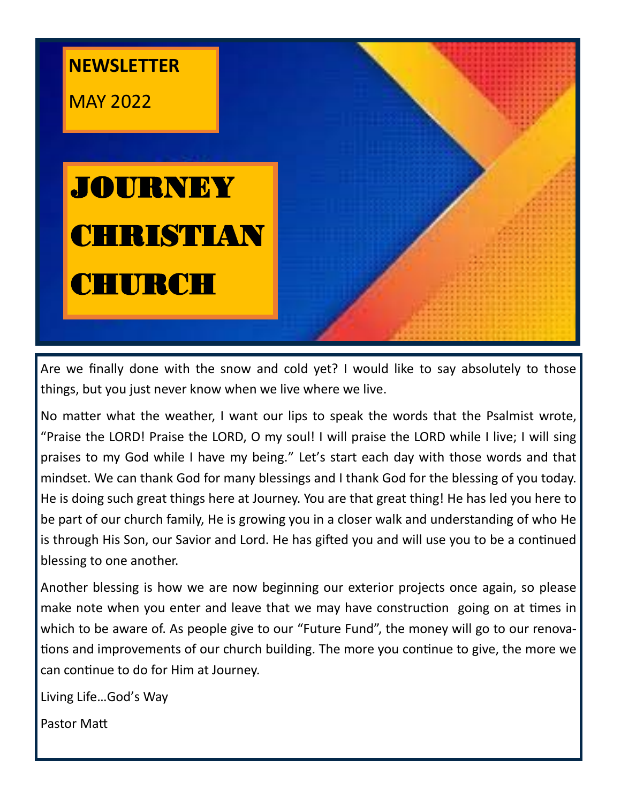

Are we finally done with the snow and cold yet? I would like to say absolutely to those things, but you just never know when we live where we live.

No matter what the weather, I want our lips to speak the words that the Psalmist wrote, "Praise the LORD! Praise the LORD, O my soul! I will praise the LORD while I live; I will sing praises to my God while I have my being." Let's start each day with those words and that mindset. We can thank God for many blessings and I thank God for the blessing of you today. He is doing such great things here at Journey. You are that great thing! He has led you here to be part of our church family, He is growing you in a closer walk and understanding of who He is through His Son, our Savior and Lord. He has gifted you and will use you to be a continued blessing to one another.

Another blessing is how we are now beginning our exterior projects once again, so please make note when you enter and leave that we may have construction going on at times in which to be aware of. As people give to our "Future Fund", the money will go to our renovations and improvements of our church building. The more you continue to give, the more we can continue to do for Him at Journey.

Living Life…God's Way

Pastor Matt